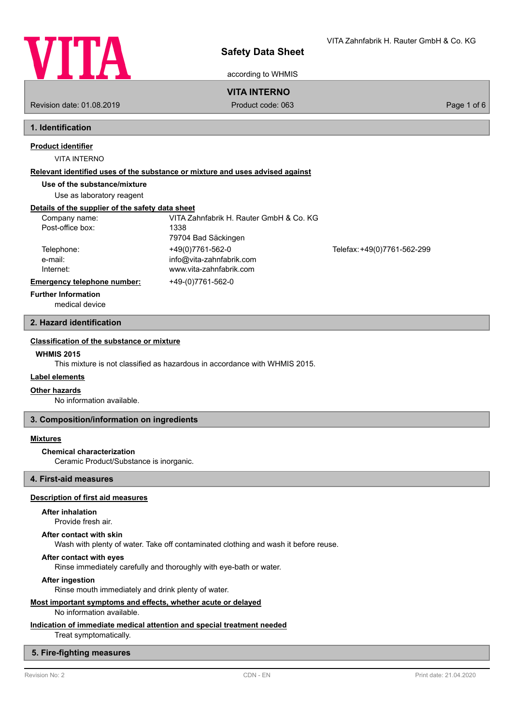

according to WHMIS

## **VITA INTERNO**

Revision date: 01.08.2019 Product code: 063 Page 1 of 6

## **1. Identification**

# **Product identifier**

VITA INTERNO

## **Relevant identified uses of the substance or mixture and uses advised against**

**Use of the substance/mixture**

Use as laboratory reagent

## **Details of the supplier of the safety data sheet**

| Company name:               | VITA Zahnfabrik H. Rauter GmbH & Co. KG |                             |
|-----------------------------|-----------------------------------------|-----------------------------|
| Post-office box:            | 1338                                    |                             |
|                             | 79704 Bad Säckingen                     |                             |
| Telephone:                  | +49(0)7761-562-0                        | Telefax: +49(0)7761-562-299 |
| e-mail:                     | info@vita-zahnfabrik.com                |                             |
| Internet:                   | www.vita-zahnfabrik.com                 |                             |
| Emergency telephone number: | +49-(0)7761-562-0                       |                             |
| _                           |                                         |                             |

#### **Further Information**

medical device

## **2. Hazard identification**

## **Classification of the substance or mixture**

## **WHMIS 2015**

This mixture is not classified as hazardous in accordance with WHMIS 2015.

## **Label elements**

## **Other hazards**

No information available.

## **3. Composition/information on ingredients**

## **Mixtures**

## **Chemical characterization**

Ceramic Product/Substance is inorganic.

## **4. First-aid measures**

## **Description of first aid measures**

## **After inhalation**

Provide fresh air.

## **After contact with skin**

Wash with plenty of water. Take off contaminated clothing and wash it before reuse.

## **After contact with eyes**

Rinse immediately carefully and thoroughly with eye-bath or water.

#### **After ingestion**

Rinse mouth immediately and drink plenty of water.

## **Most important symptoms and effects, whether acute or delayed**

#### No information available.

**Indication of immediate medical attention and special treatment needed**

Treat symptomatically.

## **5. Fire-fighting measures**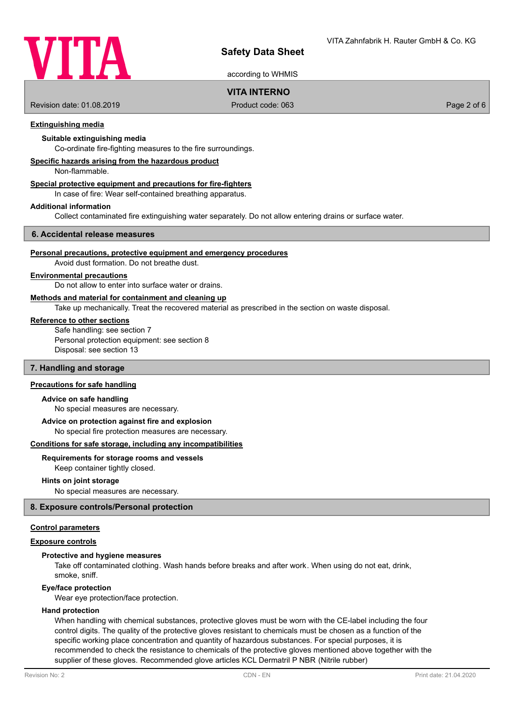

according to WHMIS

## **VITA INTERNO**

Revision date: 01.08.2019 Product code: 063 Page 2 of 6

## **Extinguishing media**

## **Suitable extinguishing media**

Co-ordinate fire-fighting measures to the fire surroundings.

## **Specific hazards arising from the hazardous product**

Non-flammable.

## **Special protective equipment and precautions for fire-fighters**

In case of fire: Wear self-contained breathing apparatus.

#### **Additional information**

Collect contaminated fire extinguishing water separately. Do not allow entering drains or surface water.

#### **6. Accidental release measures**

#### **Personal precautions, protective equipment and emergency procedures**

Avoid dust formation. Do not breathe dust.

## **Environmental precautions**

Do not allow to enter into surface water or drains.

## **Methods and material for containment and cleaning up**

Take up mechanically. Treat the recovered material as prescribed in the section on waste disposal.

#### **Reference to other sections**

Safe handling: see section 7 Personal protection equipment: see section 8 Disposal: see section 13

## **7. Handling and storage**

## **Precautions for safe handling**

#### **Advice on safe handling**

No special measures are necessary.

#### **Advice on protection against fire and explosion**

No special fire protection measures are necessary.

#### **Conditions for safe storage, including any incompatibilities**

## **Requirements for storage rooms and vessels**

Keep container tightly closed.

## **Hints on joint storage**

No special measures are necessary.

## **8. Exposure controls/Personal protection**

## **Control parameters**

## **Exposure controls**

## **Protective and hygiene measures**

Take off contaminated clothing. Wash hands before breaks and after work. When using do not eat, drink, smoke, sniff.

#### **Eye/face protection**

Wear eye protection/face protection.

#### **Hand protection**

When handling with chemical substances, protective gloves must be worn with the CE-label including the four control digits. The quality of the protective gloves resistant to chemicals must be chosen as a function of the specific working place concentration and quantity of hazardous substances. For special purposes, it is recommended to check the resistance to chemicals of the protective gloves mentioned above together with the supplier of these gloves. Recommended glove articles KCL Dermatril P NBR (Nitrile rubber)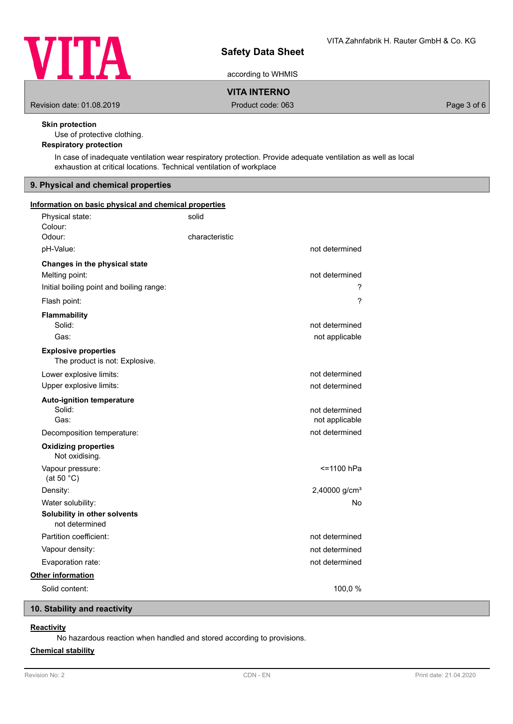

according to WHMIS

**VITA INTERNO**

Revision date: 01.08.2019 **Product code: 063** Product code: 063 Page 3 of 6

## **Skin protection**

Use of protective clothing.

## **Respiratory protection**

In case of inadequate ventilation wear respiratory protection. Provide adequate ventilation as well as local exhaustion at critical locations. Technical ventilation of workplace

## **9. Physical and chemical properties**

| Information on basic physical and chemical properties         |                |                                  |  |
|---------------------------------------------------------------|----------------|----------------------------------|--|
| Physical state:<br>Colour:                                    | solid          |                                  |  |
| Odour:                                                        | characteristic |                                  |  |
| pH-Value:                                                     |                | not determined                   |  |
| Changes in the physical state                                 |                |                                  |  |
| Melting point:                                                |                | not determined                   |  |
| Initial boiling point and boiling range:                      |                | ?                                |  |
| Flash point:                                                  |                | ?                                |  |
| <b>Flammability</b>                                           |                |                                  |  |
| Solid:                                                        |                | not determined                   |  |
| Gas:                                                          |                | not applicable                   |  |
| <b>Explosive properties</b><br>The product is not: Explosive. |                |                                  |  |
| Lower explosive limits:                                       |                | not determined                   |  |
| Upper explosive limits:                                       |                | not determined                   |  |
| <b>Auto-ignition temperature</b><br>Solid:<br>Gas:            |                | not determined<br>not applicable |  |
|                                                               |                | not determined                   |  |
| Decomposition temperature:                                    |                |                                  |  |
| <b>Oxidizing properties</b><br>Not oxidising.                 |                |                                  |  |
| Vapour pressure:<br>(at 50 °C)                                |                | <=1100 hPa                       |  |
| Density:                                                      |                | 2,40000 g/cm <sup>3</sup>        |  |
| Water solubility:                                             |                | No                               |  |
| Solubility in other solvents<br>not determined                |                |                                  |  |
| Partition coefficient:                                        |                | not determined                   |  |
| Vapour density:                                               |                | not determined                   |  |
| Evaporation rate:                                             |                | not determined                   |  |
| Other information                                             |                |                                  |  |
| Solid content:                                                |                | 100,0%                           |  |
|                                                               |                |                                  |  |

## **10. Stability and reactivity**

## **Reactivity**

No hazardous reaction when handled and stored according to provisions.

## **Chemical stability**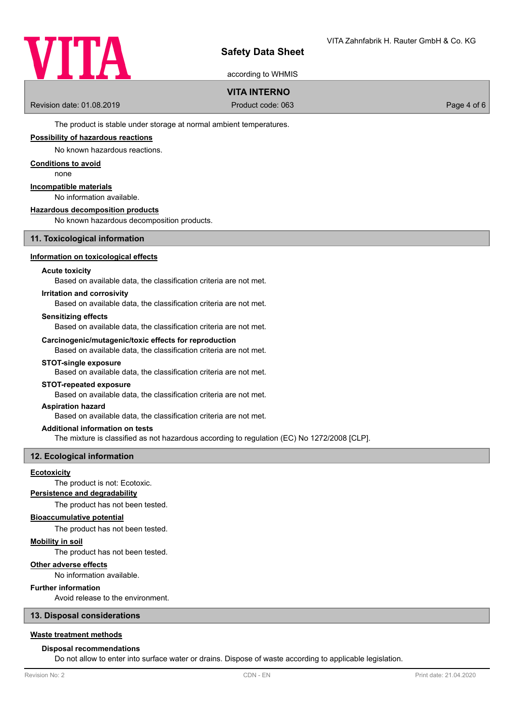

according to WHMIS

## **VITA INTERNO**

Revision date: 01.08.2019 Product code: 063 Page 4 of 6

The product is stable under storage at normal ambient temperatures.

## **Possibility of hazardous reactions**

No known hazardous reactions.

#### **Conditions to avoid**

none

## **Incompatible materials**

No information available.

## **Hazardous decomposition products**

No known hazardous decomposition products.

## **11. Toxicological information**

## **Information on toxicological effects**

#### **Acute toxicity**

Based on available data, the classification criteria are not met.

## **Irritation and corrosivity**

Based on available data, the classification criteria are not met.

#### **Sensitizing effects**

Based on available data, the classification criteria are not met.

## **Carcinogenic/mutagenic/toxic effects for reproduction**

Based on available data, the classification criteria are not met.

## **STOT-single exposure**

Based on available data, the classification criteria are not met.

#### **STOT-repeated exposure**

Based on available data, the classification criteria are not met.

#### **Aspiration hazard**

Based on available data, the classification criteria are not met.

#### **Additional information on tests**

The mixture is classified as not hazardous according to regulation (EC) No 1272/2008 [CLP].

## **12. Ecological information**

## **Ecotoxicity**

The product is not: Ecotoxic.

## **Persistence and degradability**

The product has not been tested.

## **Bioaccumulative potential**

The product has not been tested.

#### **Mobility in soil**

The product has not been tested.

## **Other adverse effects**

No information available.

## **Further information**

Avoid release to the environment.

## **13. Disposal considerations**

## **Waste treatment methods**

#### **Disposal recommendations**

Do not allow to enter into surface water or drains. Dispose of waste according to applicable legislation.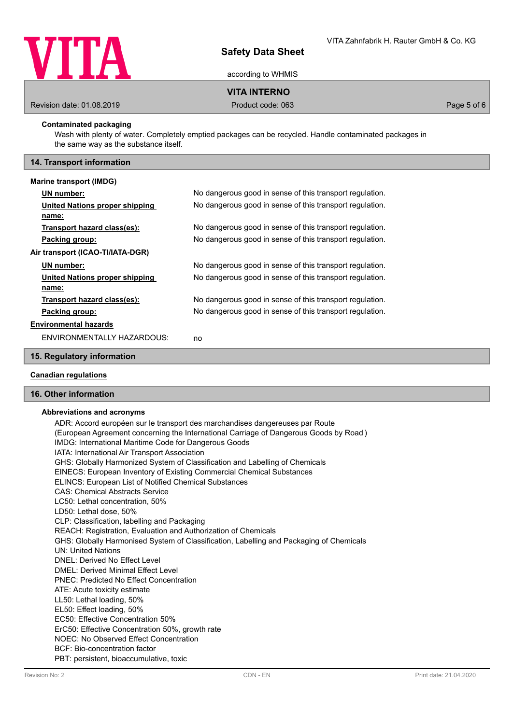

according to WHMIS

## **VITA INTERNO**

Revision date: 01.08.2019 **Product code: 063** Product code: 063 **Page 5 of 6** 

## **Contaminated packaging**

Wash with plenty of water. Completely emptied packages can be recycled. Handle contaminated packages in the same way as the substance itself.

## **14. Transport information**

#### **Marine transport (IMDG)**

| No dangerous good in sense of this transport regulation. |
|----------------------------------------------------------|
| No dangerous good in sense of this transport regulation. |
|                                                          |
| No dangerous good in sense of this transport regulation. |
| No dangerous good in sense of this transport regulation. |
|                                                          |
| No dangerous good in sense of this transport regulation. |
| No dangerous good in sense of this transport regulation. |
|                                                          |
| No dangerous good in sense of this transport regulation. |
| No dangerous good in sense of this transport regulation. |
|                                                          |
| no                                                       |
|                                                          |

## **15. Regulatory information**

## **Canadian regulations**

## **16. Other information**

## **Abbreviations and acronyms**

ADR: Accord européen sur le transport des marchandises dangereuses par Route (European Agreement concerning the International Carriage of Dangerous Goods by Road ) IMDG: International Maritime Code for Dangerous Goods IATA: International Air Transport Association GHS: Globally Harmonized System of Classification and Labelling of Chemicals EINECS: European Inventory of Existing Commercial Chemical Substances ELINCS: European List of Notified Chemical Substances CAS: Chemical Abstracts Service LC50: Lethal concentration, 50% LD50: Lethal dose, 50% CLP: Classification, labelling and Packaging REACH: Registration, Evaluation and Authorization of Chemicals GHS: Globally Harmonised System of Classification, Labelling and Packaging of Chemicals UN: United Nations DNEL: Derived No Effect Level DMEL: Derived Minimal Effect Level PNEC: Predicted No Effect Concentration ATE: Acute toxicity estimate LL50: Lethal loading, 50% EL50: Effect loading, 50% EC50: Effective Concentration 50% ErC50: Effective Concentration 50%, growth rate NOEC: No Observed Effect Concentration BCF: Bio-concentration factor PBT: persistent, bioaccumulative, toxic